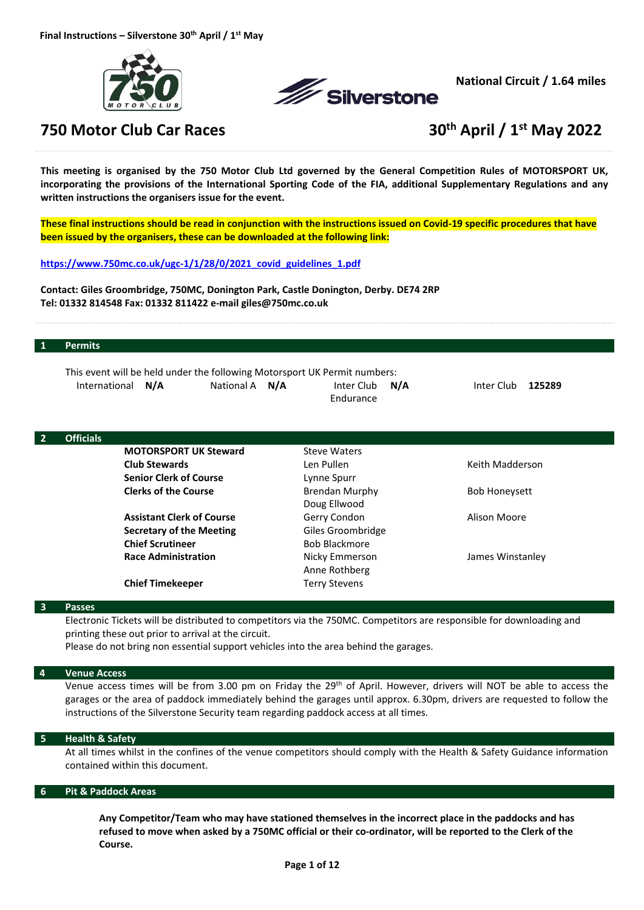



**National Circuit / 1.64 miles**

# **750 Motor Club Car Races 30th April / 1st May 2022**

This meeting is organised by the 750 Motor Club Ltd governed by the General Competition Rules of MOTORSPORT UK, incorporating the provisions of the International Sporting Code of the FIA, additional Supplementary Regulations and any **written instructions the organisers issue for the event.** 

These final instructions should be read in conjunction with the instructions issued on Covid-19 specific procedures that have **been issued by the organisers, these can be downloaded at the following link:**

**https://www.750mc.co.uk/ugc‐1/1/28/0/2021\_covid\_guidelines\_1.pdf**

**Contact: Giles Groombridge, 750MC, Donington Park, Castle Donington, Derby. DE74 2RP Tel: 01332 814548 Fax: 01332 811422 e‐mail giles@750mc.co.uk**

#### **1 Permits**

|                   |                       |                  | This event will be held under the following Motorsport UK Permit numbers: |            |        |
|-------------------|-----------------------|------------------|---------------------------------------------------------------------------|------------|--------|
| International N/A | National A <b>N/A</b> | Inter Club $N/A$ |                                                                           | Inter Club | 125289 |
|                   |                       | Endurance        |                                                                           |            |        |

| $\overline{2}$ | <b>Officials</b> |                                  |                      |                      |
|----------------|------------------|----------------------------------|----------------------|----------------------|
|                |                  | <b>MOTORSPORT UK Steward</b>     | <b>Steve Waters</b>  |                      |
|                |                  | <b>Club Stewards</b>             | Len Pullen           | Keith Madderson      |
|                |                  | <b>Senior Clerk of Course</b>    | Lynne Spurr          |                      |
|                |                  | <b>Clerks of the Course</b>      | Brendan Murphy       | <b>Bob Honeysett</b> |
|                |                  |                                  | Doug Ellwood         |                      |
|                |                  | <b>Assistant Clerk of Course</b> | Gerry Condon         | Alison Moore         |
|                |                  | <b>Secretary of the Meeting</b>  | Giles Groombridge    |                      |
|                |                  | <b>Chief Scrutineer</b>          | <b>Bob Blackmore</b> |                      |
|                |                  | <b>Race Administration</b>       | Nicky Emmerson       | James Winstanley     |
|                |                  |                                  | Anne Rothberg        |                      |
|                |                  | <b>Chief Timekeeper</b>          | Terry Stevens        |                      |

#### **3 Passes**

Electronic Tickets will be distributed to competitors via the 750MC. Competitors are responsible for downloading and printing these out prior to arrival at the circuit.

Please do not bring non essential support vehicles into the area behind the garages.

#### **4 Venue Access**

Venue access times will be from 3.00 pm on Friday the 29<sup>th</sup> of April. However, drivers will NOT be able to access the garages or the area of paddock immediately behind the garages until approx. 6.30pm, drivers are requested to follow the instructions of the Silverstone Security team regarding paddock access at all times.

# **5 Health & Safety**

At all times whilst in the confines of the venue competitors should comply with the Health & Safety Guidance information contained within this document.

#### **6 Pit & Paddock Areas**

**Any Competitor/Team who may have stationed themselves in the incorrect place in the paddocks and has** refused to move when asked by a 750MC official or their co-ordinator, will be reported to the Clerk of the **Course.**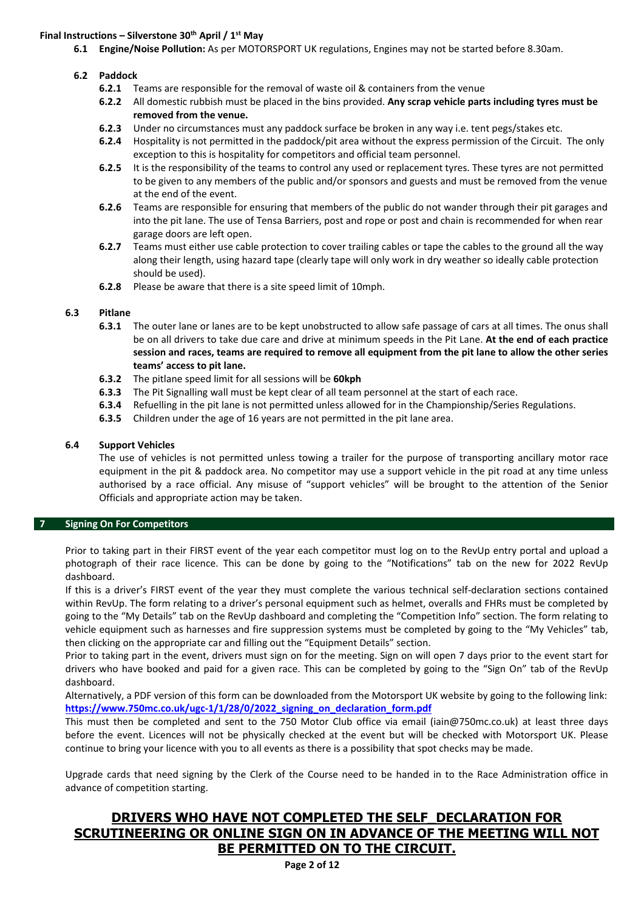# **Final Instructions – Silverstone 30th April / 1st May**

**6.1 Engine/Noise Pollution:** As per MOTORSPORT UK regulations, Engines may not be started before 8.30am.

# **6.2 Paddock**

- **6.2.1** Teams are responsible for the removal of waste oil & containers from the venue
- **6.2.2** All domestic rubbish must be placed in the bins provided. **Any scrap vehicle parts including tyres must be removed from the venue.**
- **6.2.3** Under no circumstances must any paddock surface be broken in any way i.e. tent pegs/stakes etc.
- **6.2.4** Hospitality is not permitted in the paddock/pit area without the express permission of the Circuit. The only exception to this is hospitality for competitors and official team personnel.
- **6.2.5** It is the responsibility of the teams to control any used or replacement tyres. These tyres are not permitted to be given to any members of the public and/or sponsors and guests and must be removed from the venue at the end of the event.
- **6.2.6** Teams are responsible for ensuring that members of the public do not wander through their pit garages and into the pit lane. The use of Tensa Barriers, post and rope or post and chain is recommended for when rear garage doors are left open.
- **6.2.7** Teams must either use cable protection to cover trailing cables or tape the cables to the ground all the way along their length, using hazard tape (clearly tape will only work in dry weather so ideally cable protection should be used).
- **6.2.8** Please be aware that there is a site speed limit of 10mph.

# **6.3 Pitlane**

- **6.3.1** The outer lane or lanes are to be kept unobstructed to allow safe passage of cars at all times. The onus shall be on all drivers to take due care and drive at minimum speeds in the Pit Lane. **At the end of each practice** session and races, teams are required to remove all equipment from the pit lane to allow the other series **teams' access to pit lane.**
- **6.3.2** The pitlane speed limit for all sessions will be **60kph**
- **6.3.3** The Pit Signalling wall must be kept clear of all team personnel at the start of each race.
- **6.3.4** Refuelling in the pit lane is not permitted unless allowed for in the Championship/Series Regulations.
- **6.3.5** Children under the age of 16 years are not permitted in the pit lane area.

# **6.4 Support Vehicles**

The use of vehicles is not permitted unless towing a trailer for the purpose of transporting ancillary motor race equipment in the pit & paddock area. No competitor may use a support vehicle in the pit road at any time unless authorised by a race official. Any misuse of "support vehicles" will be brought to the attention of the Senior Officials and appropriate action may be taken.

## **7 Signing On For Competitors**

Prior to taking part in their FIRST event of the year each competitor must log on to the RevUp entry portal and upload a photograph of their race licence. This can be done by going to the "Notifications" tab on the new for 2022 RevUp dashboard.

If this is a driver's FIRST event of the year they must complete the various technical self‐declaration sections contained within RevUp. The form relating to a driver's personal equipment such as helmet, overalls and FHRs must be completed by going to the "My Details" tab on the RevUp dashboard and completing the "Competition Info" section. The form relating to vehicle equipment such as harnesses and fire suppression systems must be completed by going to the "My Vehicles" tab, then clicking on the appropriate car and filling out the "Equipment Details" section.

Prior to taking part in the event, drivers must sign on for the meeting. Sign on will open 7 days prior to the event start for drivers who have booked and paid for a given race. This can be completed by going to the "Sign On" tab of the RevUp dashboard.

Alternatively, a PDF version of this form can be downloaded from the Motorsport UK website by going to the following link: **https://www.750mc.co.uk/ugc‐1/1/28/0/2022\_signing\_on\_declaration\_form.pdf**

This must then be completed and sent to the 750 Motor Club office via email (iain@750mc.co.uk) at least three days before the event. Licences will not be physically checked at the event but will be checked with Motorsport UK. Please continue to bring your licence with you to all events as there is a possibility that spot checks may be made.

Upgrade cards that need signing by the Clerk of the Course need to be handed in to the Race Administration office in advance of competition starting.

# **DRIVERS WHO HAVE NOT COMPLETED THE SELF\_DECLARATION FOR SCRUTINEERING OR ONLINE SIGN ON IN ADVANCE OF THE MEETING WILL NOT BE PERMITTED ON TO THE CIRCUIT.**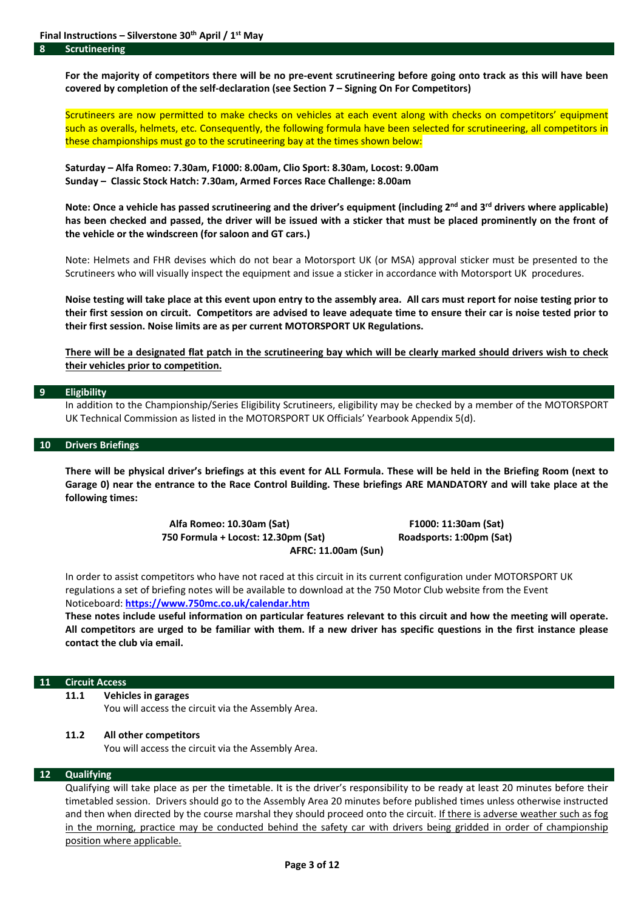For the majority of competitors there will be no pre-event scrutineering before going onto track as this will have been **covered by completion of the self‐declaration (see Section 7 – Signing On For Competitors)**

Scrutineers are now permitted to make checks on vehicles at each event along with checks on competitors' equipment such as overalls, helmets, etc. Consequently, the following formula have been selected for scrutineering, all competitors in these championships must go to the scrutineering bay at the times shown below:

**Saturday – Alfa Romeo: 7.30am, F1000: 8.00am, Clio Sport: 8.30am, Locost: 9.00am Sunday – Classic Stock Hatch: 7.30am, Armed Forces Race Challenge: 8.00am**

Note: Once a vehicle has passed scrutineering and the driver's equipment (including 2<sup>nd</sup> and 3<sup>rd</sup> drivers where applicable) has been checked and passed, the driver will be issued with a sticker that must be placed prominently on the front of **the vehicle or the windscreen (for saloon and GT cars.)**

Note: Helmets and FHR devises which do not bear a Motorsport UK (or MSA) approval sticker must be presented to the Scrutineers who will visually inspect the equipment and issue a sticker in accordance with Motorsport UK procedures.

Noise testing will take place at this event upon entry to the assembly area. All cars must report for noise testing prior to their first session on circuit. Competitors are advised to leave adequate time to ensure their car is noise tested prior to **their first session. Noise limits are as per current MOTORSPORT UK Regulations.** 

There will be a designated flat patch in the scrutineering bay which will be clearly marked should drivers wish to check **their vehicles prior to competition.**

#### **9 Eligibility**

In addition to the Championship/Series Eligibility Scrutineers, eligibility may be checked by a member of the MOTORSPORT UK Technical Commission as listed in the MOTORSPORT UK Officials' Yearbook Appendix 5(d).

#### **10 Drivers Briefings**

There will be physical driver's briefings at this event for ALL Formula. These will be held in the Briefing Room (next to Garage 0) near the entrance to the Race Control Building. These briefings ARE MANDATORY and will take place at the **following times:**

> **Alfa Romeo: 10.30am (Sat) F1000: 11:30am (Sat) 750 Formula + Locost: 12.30pm (Sat) Roadsports: 1:00pm (Sat) AFRC: 11.00am (Sun)**

In order to assist competitors who have not raced at this circuit in its current configuration under MOTORSPORT UK regulations a set of briefing notes will be available to download at the 750 Motor Club website from the Event Noticeboard: **https://www.750mc.co.uk/calendar.htm**

These notes include useful information on particular features relevant to this circuit and how the meeting will operate. All competitors are urged to be familiar with them. If a new driver has specific questions in the first instance please **contact the club via email.**

#### **11 Circuit Access**

**11.1 Vehicles in garages**

You will access the circuit via the Assembly Area.

#### **11.2 All other competitors**

You will access the circuit via the Assembly Area.

# **12 Qualifying**

Qualifying will take place as per the timetable. It is the driver's responsibility to be ready at least 20 minutes before their timetabled session. Drivers should go to the Assembly Area 20 minutes before published times unless otherwise instructed and then when directed by the course marshal they should proceed onto the circuit. If there is adverse weather such as fog in the morning, practice may be conducted behind the safety car with drivers being gridded in order of championship position where applicable.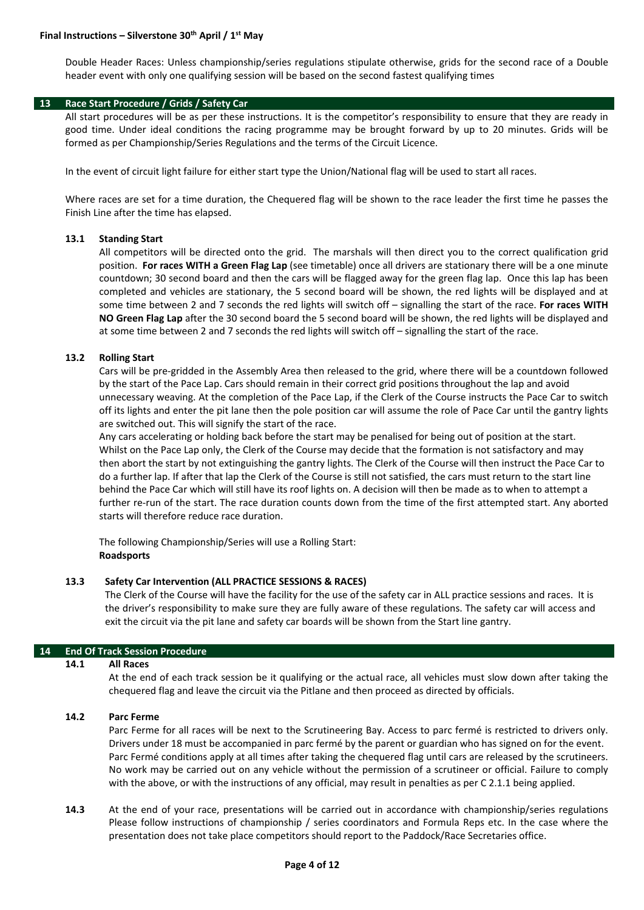Double Header Races: Unless championship/series regulations stipulate otherwise, grids for the second race of a Double header event with only one qualifying session will be based on the second fastest qualifying times

### **13 Race Start Procedure / Grids / Safety Car**

All start procedures will be as per these instructions. It is the competitor's responsibility to ensure that they are ready in good time. Under ideal conditions the racing programme may be brought forward by up to 20 minutes. Grids will be formed as per Championship/Series Regulations and the terms of the Circuit Licence.

In the event of circuit light failure for either start type the Union/National flag will be used to start all races.

Where races are set for a time duration, the Chequered flag will be shown to the race leader the first time he passes the Finish Line after the time has elapsed.

#### **13.1 Standing Start**

All competitors will be directed onto the grid. The marshals will then direct you to the correct qualification grid position. **For races WITH a Green Flag Lap** (see timetable) once all drivers are stationary there will be a one minute countdown; 30 second board and then the cars will be flagged away for the green flag lap. Once this lap has been completed and vehicles are stationary, the 5 second board will be shown, the red lights will be displayed and at some time between 2 and 7 seconds the red lights will switch off – signalling the start of the race. **For races WITH NO Green Flag Lap** after the 30 second board the 5 second board will be shown, the red lights will be displayed and at some time between 2 and 7 seconds the red lights will switch off – signalling the start of the race.

#### **13.2 Rolling Start**

Cars will be pre‐gridded in the Assembly Area then released to the grid, where there will be a countdown followed by the start of the Pace Lap. Cars should remain in their correct grid positions throughout the lap and avoid unnecessary weaving. At the completion of the Pace Lap, if the Clerk of the Course instructs the Pace Car to switch off its lights and enter the pit lane then the pole position car will assume the role of Pace Car until the gantry lights are switched out. This will signify the start of the race.

Any cars accelerating or holding back before the start may be penalised for being out of position at the start. Whilst on the Pace Lap only, the Clerk of the Course may decide that the formation is not satisfactory and may then abort the start by not extinguishing the gantry lights. The Clerk of the Course will then instruct the Pace Car to do a further lap. If after that lap the Clerk of the Course is still not satisfied, the cars must return to the start line behind the Pace Car which will still have its roof lights on. A decision will then be made as to when to attempt a further re-run of the start. The race duration counts down from the time of the first attempted start. Any aborted starts will therefore reduce race duration.

The following Championship/Series will use a Rolling Start: **Roadsports**

#### **13.3 Safety Car Intervention (ALL PRACTICE SESSIONS & RACES)**

The Clerk of the Course will have the facility for the use of the safety car in ALL practice sessions and races. It is the driver's responsibility to make sure they are fully aware of these regulations. The safety car will access and exit the circuit via the pit lane and safety car boards will be shown from the Start line gantry.

#### **14 End Of Track Session Procedure**

#### **14.1 All Races**

At the end of each track session be it qualifying or the actual race, all vehicles must slow down after taking the chequered flag and leave the circuit via the Pitlane and then proceed as directed by officials.

### **14.2 Parc Ferme**

Parc Ferme for all races will be next to the Scrutineering Bay. Access to parc fermé is restricted to drivers only. Drivers under 18 must be accompanied in parc fermé by the parent or guardian who has signed on for the event. Parc Fermé conditions apply at all times after taking the chequered flag until cars are released by the scrutineers. No work may be carried out on any vehicle without the permission of a scrutineer or official. Failure to comply with the above, or with the instructions of any official, may result in penalties as per C 2.1.1 being applied.

**14.3** At the end of your race, presentations will be carried out in accordance with championship/series regulations Please follow instructions of championship / series coordinators and Formula Reps etc. In the case where the presentation does not take place competitors should report to the Paddock/Race Secretaries office.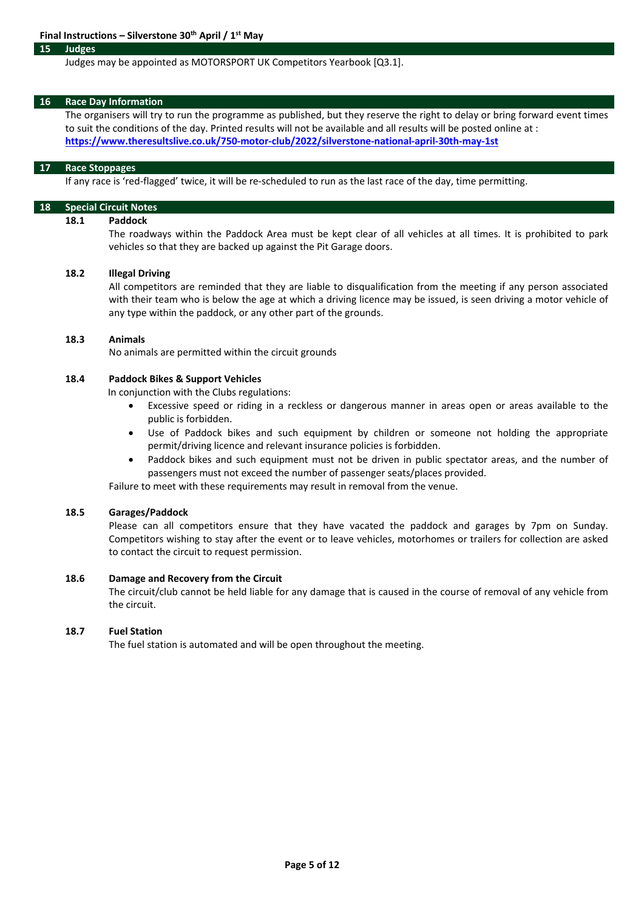#### **15 Judges**

#### Judges may be appointed as MOTORSPORT UK Competitors Yearbook [Q3.1].

#### **16 Race Day Information**

The organisers will try to run the programme as published, but they reserve the right to delay or bring forward event times to suit the conditions of the day. Printed results will not be available and all results will be posted online at : **https://www.theresultslive.co.uk/750‐motor‐club/2022/silverstone‐national‐april‐30th‐may‐1st**

#### **17 Race Stoppages**

If any race is 'red-flagged' twice, it will be re-scheduled to run as the last race of the day, time permitting.

# **18 Special Circuit Notes**

# **18.1 Paddock**

The roadways within the Paddock Area must be kept clear of all vehicles at all times. It is prohibited to park vehicles so that they are backed up against the Pit Garage doors.

#### **18.2 Illegal Driving**

All competitors are reminded that they are liable to disqualification from the meeting if any person associated with their team who is below the age at which a driving licence may be issued, is seen driving a motor vehicle of any type within the paddock, or any other part of the grounds.

#### **18.3 Animals**

No animals are permitted within the circuit grounds

## **18.4 Paddock Bikes & Support Vehicles**

In conjunction with the Clubs regulations:

- Excessive speed or riding in a reckless or dangerous manner in areas open or areas available to the public is forbidden.
- Use of Paddock bikes and such equipment by children or someone not holding the appropriate permit/driving licence and relevant insurance policies is forbidden.
- Paddock bikes and such equipment must not be driven in public spectator areas, and the number of passengers must not exceed the number of passenger seats/places provided.

Failure to meet with these requirements may result in removal from the venue.

#### **18.5 Garages/Paddock**

Please can all competitors ensure that they have vacated the paddock and garages by 7pm on Sunday. Competitors wishing to stay after the event or to leave vehicles, motorhomes or trailers for collection are asked to contact the circuit to request permission.

### **18.6 Damage and Recovery from the Circuit**

The circuit/club cannot be held liable for any damage that is caused in the course of removal of any vehicle from the circuit.

# **18.7 Fuel Station**

The fuel station is automated and will be open throughout the meeting.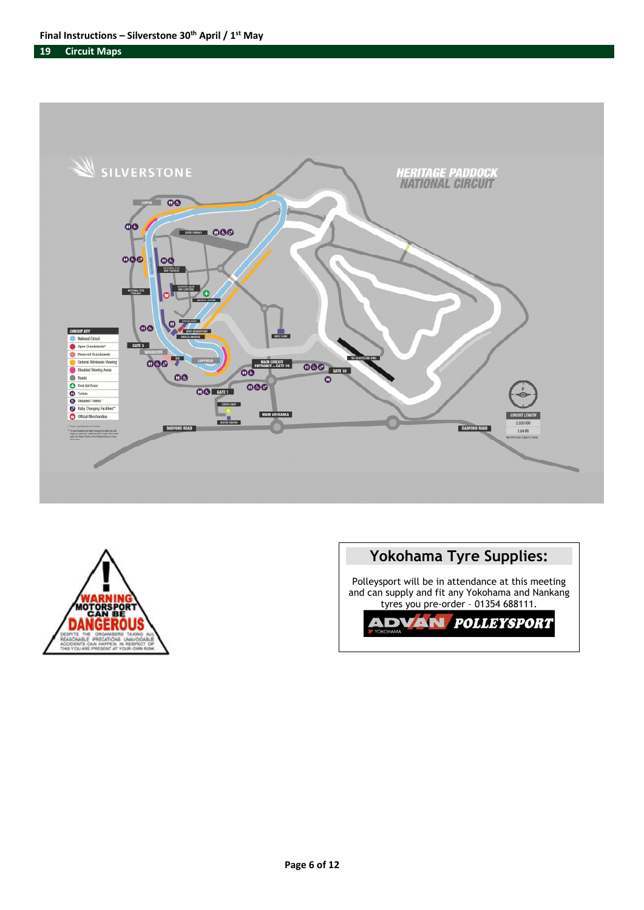**19 Circuit Maps**





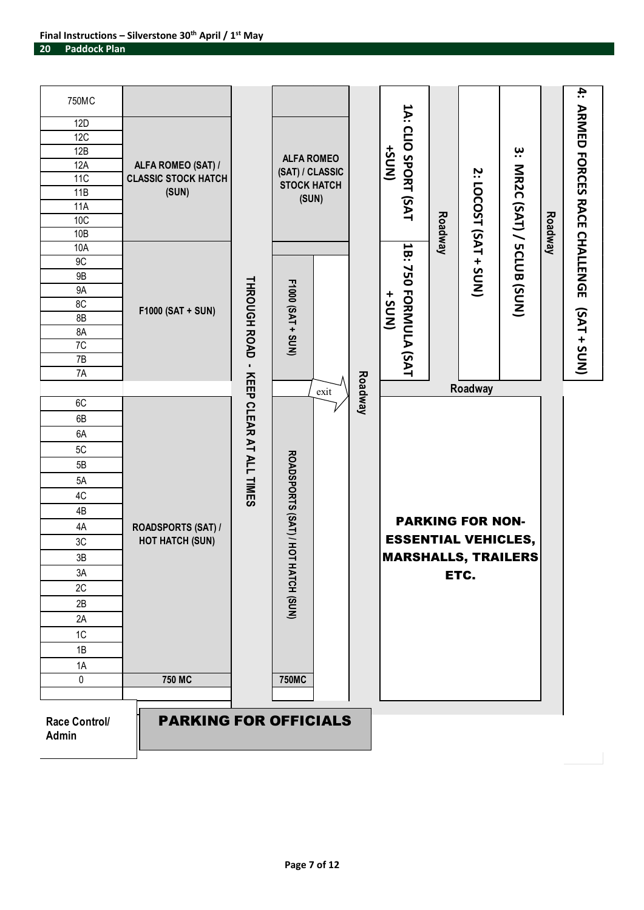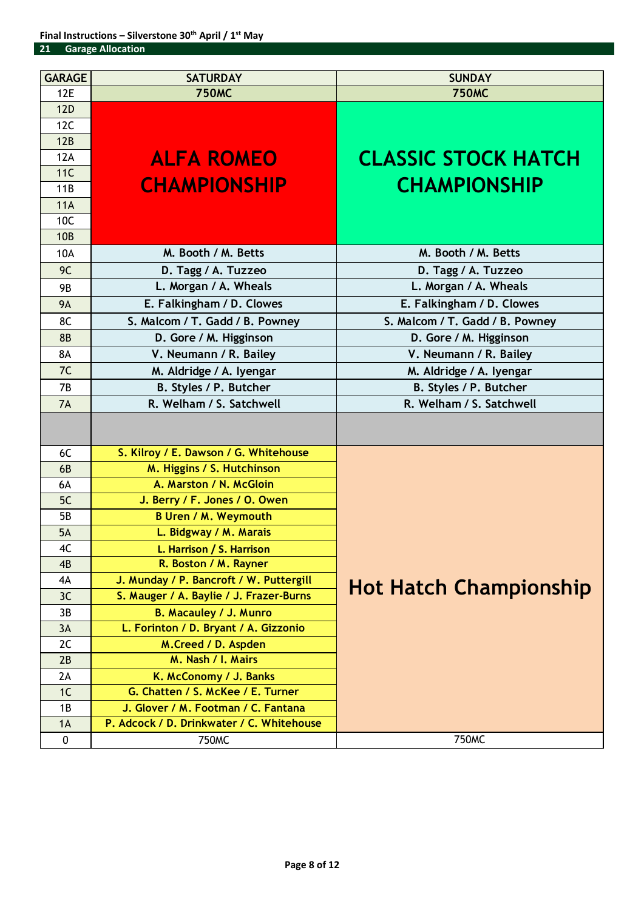| <b>GARAGE</b> | <b>SATURDAY</b>                           | <b>SUNDAY</b>                   |
|---------------|-------------------------------------------|---------------------------------|
| <b>12E</b>    | <b>750MC</b>                              | <b>750MC</b>                    |
| <b>12D</b>    |                                           |                                 |
| 12C           |                                           |                                 |
| 12B           |                                           |                                 |
| 12A           | <b>ALFA ROMEO</b>                         | <b>CLASSIC STOCK HATCH</b>      |
| 11C           |                                           |                                 |
| 11B           | <b>CHAMPIONSHIP</b>                       | <b>CHAMPIONSHIP</b>             |
| 11A           |                                           |                                 |
| 10C           |                                           |                                 |
| <b>10B</b>    |                                           |                                 |
| 10A           | M. Booth / M. Betts                       | M. Booth / M. Betts             |
| 9C            | D. Tagg / A. Tuzzeo                       | D. Tagg / A. Tuzzeo             |
| <b>9B</b>     | L. Morgan / A. Wheals                     | L. Morgan / A. Wheals           |
| <b>9A</b>     | E. Falkingham / D. Clowes                 | E. Falkingham / D. Clowes       |
| 8C            | S. Malcom / T. Gadd / B. Powney           | S. Malcom / T. Gadd / B. Powney |
| <b>8B</b>     | D. Gore / M. Higginson                    | D. Gore / M. Higginson          |
| <b>8A</b>     | V. Neumann / R. Bailey                    | V. Neumann / R. Bailey          |
| 7C            | M. Aldridge / A. Iyengar                  | M. Aldridge / A. Iyengar        |
| <b>7B</b>     | B. Styles / P. Butcher                    | B. Styles / P. Butcher          |
| 7A            | R. Welham / S. Satchwell                  | R. Welham / S. Satchwell        |
|               |                                           |                                 |
| 6C            | S. Kilroy / E. Dawson / G. Whitehouse     |                                 |
| 6B            | M. Higgins / S. Hutchinson                |                                 |
| 6A            | A. Marston / N. McGloin                   |                                 |
| 5C            | J. Berry / F. Jones / O. Owen             |                                 |
| <b>5B</b>     | <b>B Uren / M. Weymouth</b>               |                                 |
| 5A            | L. Bidgway / M. Marais                    |                                 |
| 4C            | L. Harrison / S. Harrison                 |                                 |
| 4B            | R. Boston / M. Rayner                     |                                 |
| 4A            | J. Munday / P. Bancroft / W. Puttergill   | <b>Hot Hatch Championship</b>   |
| 3C            | S. Mauger / A. Baylie / J. Frazer-Burns   |                                 |
| 3B            | <b>B. Macauley / J. Munro</b>             |                                 |
| 3A            | L. Forinton / D. Bryant / A. Gizzonio     |                                 |
| 2C            | M.Creed / D. Aspden                       |                                 |
| 2B            | M. Nash / I. Mairs                        |                                 |
| 2A            | K. McConomy / J. Banks                    |                                 |
| 1C            | G. Chatten / S. McKee / E. Turner         |                                 |
| 1B            | J. Glover / M. Footman / C. Fantana       |                                 |
| 1A            | P. Adcock / D. Drinkwater / C. Whitehouse |                                 |
| $\mathbf 0$   | <b>750MC</b>                              | 750MC                           |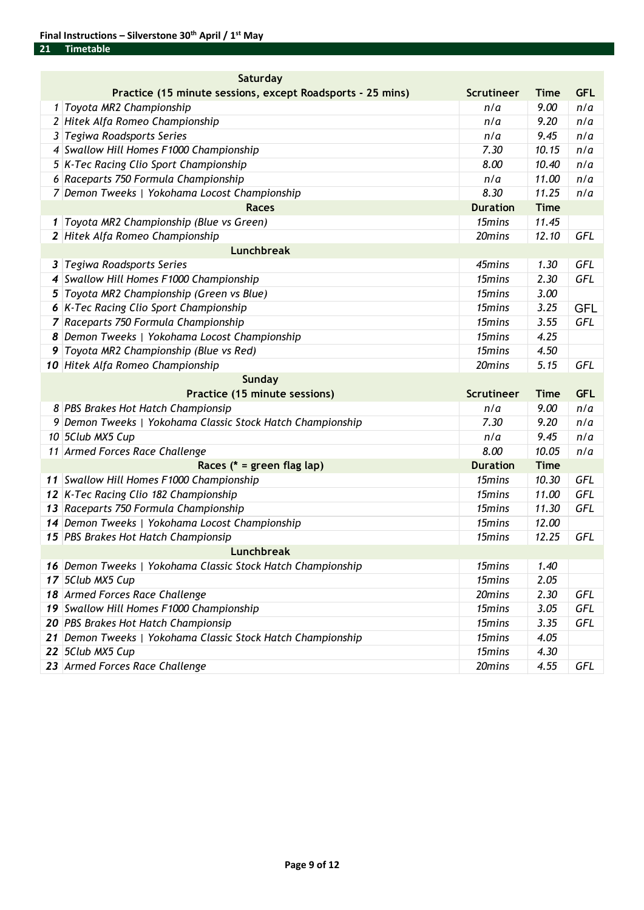| Saturday |                                                             |                   |             |            |  |  |  |
|----------|-------------------------------------------------------------|-------------------|-------------|------------|--|--|--|
|          | Practice (15 minute sessions, except Roadsports - 25 mins)  | <b>Scrutineer</b> | <b>Time</b> | <b>GFL</b> |  |  |  |
|          | 1 Toyota MR2 Championship                                   | n/a               | 9.00        | n/a        |  |  |  |
|          | 2 Hitek Alfa Romeo Championship                             | n/a               | 9.20        | n/a        |  |  |  |
|          | 3 Tegiwa Roadsports Series                                  | n/a               | 9.45        | n/a        |  |  |  |
|          | 4 Swallow Hill Homes F1000 Championship                     | 7.30              | 10.15       | n/a        |  |  |  |
|          | 5 K-Tec Racing Clio Sport Championship                      | 8.00              | 10.40       | n/a        |  |  |  |
|          | 6 Raceparts 750 Formula Championship                        | n/a               | 11.00       | n/a        |  |  |  |
|          | 7 Demon Tweeks   Yokohama Locost Championship               | 8.30              | 11.25       | n/a        |  |  |  |
|          | <b>Races</b>                                                | <b>Duration</b>   | <b>Time</b> |            |  |  |  |
|          | 1 Toyota MR2 Championship (Blue vs Green)                   | 15mins            | 11.45       |            |  |  |  |
|          | 2 Hitek Alfa Romeo Championship                             | 20mins            | 12.10       | GFL        |  |  |  |
|          | <b>Lunchbreak</b>                                           |                   |             |            |  |  |  |
|          | 3 Tegiwa Roadsports Series                                  | 45mins            | 1.30        | GFL        |  |  |  |
|          | 4 Swallow Hill Homes F1000 Championship                     | 15mins            | 2.30        | <b>GFL</b> |  |  |  |
|          | 5 Toyota MR2 Championship (Green vs Blue)                   | 15mins            | 3.00        |            |  |  |  |
|          | 6 K-Tec Racing Clio Sport Championship                      | 15mins            | 3.25        | <b>GFL</b> |  |  |  |
|          | 7 Raceparts 750 Formula Championship                        | 15mins            | 3.55        | GFL        |  |  |  |
|          | 8 Demon Tweeks   Yokohama Locost Championship               | 15mins            | 4.25        |            |  |  |  |
|          | 9 Toyota MR2 Championship (Blue vs Red)                     | 15mins            | 4.50        |            |  |  |  |
|          | 10 Hitek Alfa Romeo Championship                            | 20mins            | 5.15        | <b>GFL</b> |  |  |  |
|          | <b>Sunday</b>                                               |                   |             |            |  |  |  |
|          | Practice (15 minute sessions)                               | <b>Scrutineer</b> | <b>Time</b> | <b>GFL</b> |  |  |  |
|          | 8 PBS Brakes Hot Hatch Championsip                          | n/a               | 9.00        | n/a        |  |  |  |
|          | 9 Demon Tweeks   Yokohama Classic Stock Hatch Championship  | 7.30              | 9.20        | n/a        |  |  |  |
|          |                                                             |                   |             |            |  |  |  |
|          | 10 5Club MX5 Cup                                            | n/a               | 9.45        | n/a        |  |  |  |
|          | 11 Armed Forces Race Challenge                              | 8.00              | 10.05       | n/a        |  |  |  |
|          | Races (* = green flag lap)                                  | <b>Duration</b>   | <b>Time</b> |            |  |  |  |
|          | 11 Swallow Hill Homes F1000 Championship                    | 15mins            | 10.30       | <b>GFL</b> |  |  |  |
|          | 12 K-Tec Racing Clio 182 Championship                       | 15mins            | 11.00       | <b>GFL</b> |  |  |  |
|          | 13 Raceparts 750 Formula Championship                       | 15mins            | 11.30       | <b>GFL</b> |  |  |  |
|          | 14 Demon Tweeks   Yokohama Locost Championship              | 15mins            | 12.00       |            |  |  |  |
|          | 15 PBS Brakes Hot Hatch Championsip                         | 15mins            | 12.25       | <b>GFL</b> |  |  |  |
|          | Lunchbreak                                                  |                   |             |            |  |  |  |
|          | 16 Demon Tweeks   Yokohama Classic Stock Hatch Championship | 15mins            | 1.40        |            |  |  |  |
|          | 17 5Club MX5 Cup                                            | 15mins            | 2.05        |            |  |  |  |
|          | 18 Armed Forces Race Challenge                              | 20mins            | 2.30        | GFL        |  |  |  |
|          | 19 Swallow Hill Homes F1000 Championship                    | 15mins            | 3.05        | GFL        |  |  |  |
|          | 20 PBS Brakes Hot Hatch Championsip                         | 15mins            | 3.35        | GFL        |  |  |  |
|          | 21 Demon Tweeks   Yokohama Classic Stock Hatch Championship | 15mins            | 4.05        |            |  |  |  |
|          | 22 5Club MX5 Cup                                            | 15mins            | 4.30        |            |  |  |  |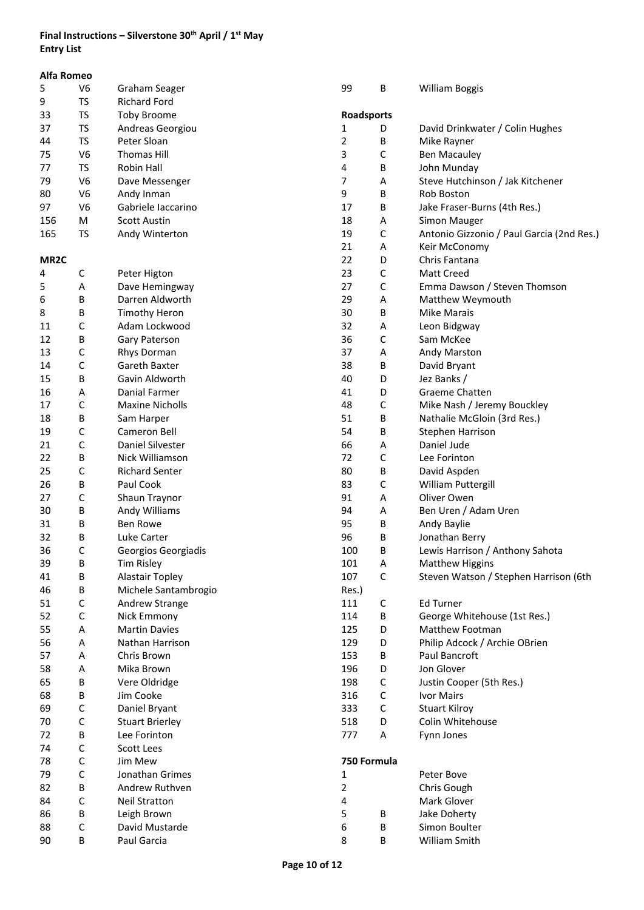# **Final Instructions – Silverstone 30th April / 1st May Entry List**

| Alfa Romeo        |                |                        |             |                  |                                           |
|-------------------|----------------|------------------------|-------------|------------------|-------------------------------------------|
| 5                 | V <sub>6</sub> | Graham Seager          | 99          | В                | <b>William Boggis</b>                     |
| 9                 | <b>TS</b>      | <b>Richard Ford</b>    |             |                  |                                           |
| 33                | <b>TS</b>      | <b>Toby Broome</b>     | Roadsports  |                  |                                           |
| 37                | <b>TS</b>      | Andreas Georgiou       | 1           | D                | David Drinkwater / Colin Hughes           |
| 44                | <b>TS</b>      | Peter Sloan            | 2           | В                | Mike Rayner                               |
| 75                | V <sub>6</sub> | <b>Thomas Hill</b>     | 3           | $\mathsf C$      | <b>Ben Macauley</b>                       |
| 77                | <b>TS</b>      | Robin Hall             | 4           | В                | John Munday                               |
| 79                | V <sub>6</sub> | Dave Messenger         | 7           | Α                | Steve Hutchinson / Jak Kitchener          |
| 80                | V <sub>6</sub> | Andy Inman             | 9           | В                | Rob Boston                                |
| 97                | V <sub>6</sub> | Gabriele laccarino     | 17          | В                | Jake Fraser-Burns (4th Res.)              |
| 156               | M              | <b>Scott Austin</b>    | 18          | Α                | Simon Mauger                              |
| 165               | <b>TS</b>      | Andy Winterton         | 19          | C                | Antonio Gizzonio / Paul Garcia (2nd Res.) |
|                   |                |                        | 21          | Α                | Keir McConomy                             |
| MR <sub>2</sub> C |                |                        | 22          | D                | Chris Fantana                             |
| 4                 | С              | Peter Higton           | 23          | C                | <b>Matt Creed</b>                         |
| 5                 | Α              | Dave Hemingway         | 27          | $\mathsf C$      | Emma Dawson / Steven Thomson              |
| 6                 | В              | Darren Aldworth        | 29          | Α                | Matthew Weymouth                          |
| 8                 | В              | <b>Timothy Heron</b>   | 30          | B                | <b>Mike Marais</b>                        |
| 11                | C              | Adam Lockwood          | 32          | Α                | Leon Bidgway                              |
| 12                | В              | Gary Paterson          | 36          | C                | Sam McKee                                 |
| 13                | С              | Rhys Dorman            | 37          | Α                | Andy Marston                              |
| 14                | C              | Gareth Baxter          | 38          | В                | David Bryant                              |
| 15                | В              | Gavin Aldworth         | 40          | D                | Jez Banks /                               |
| 16                | Α              | Danial Farmer          | 41          | D                | Graeme Chatten                            |
| 17                | C              | <b>Maxine Nicholls</b> | 48          | $\mathsf C$      | Mike Nash / Jeremy Bouckley               |
| 18                | В              | Sam Harper             | 51          | В                | Nathalie McGloin (3rd Res.)               |
| 19                | С              | Cameron Bell           | 54          | В                | Stephen Harrison                          |
| 21                | С              | Daniel Silvester       | 66          | Α                | Daniel Jude                               |
| 22                | В              | Nick Williamson        | 72          | $\mathsf C$      | Lee Forinton                              |
| 25                | C              | <b>Richard Senter</b>  | 80          |                  |                                           |
| 26                | В              | Paul Cook              | 83          | В<br>$\mathsf C$ | David Aspden<br>William Puttergill        |
| 27                | C              | Shaun Traynor          | 91          |                  | Oliver Owen                               |
| 30                | В              |                        | 94          | Α<br>Α           | Ben Uren / Adam Uren                      |
|                   |                | Andy Williams          |             |                  |                                           |
| 31<br>32          | В              | <b>Ben Rowe</b>        | 95<br>96    | В                | Andy Baylie                               |
|                   | В              | Luke Carter            |             | В                | Jonathan Berry                            |
| 36                | C              | Georgios Georgiadis    | 100         | В                | Lewis Harrison / Anthony Sahota           |
| 39                | В              | Tim Risley             | 101         | Α                | <b>Matthew Higgins</b>                    |
| 41                | В              | <b>Alastair Topley</b> | 107         | $\mathsf C$      | Steven Watson / Stephen Harrison (6th     |
| 46                | В              | Michele Santambrogio   | Res.)       |                  |                                           |
| 51                | С              | Andrew Strange         | 111         | С                | <b>Ed Turner</b>                          |
| 52                | $\mathsf C$    | Nick Emmony            | 114         | В                | George Whitehouse (1st Res.)              |
| 55                | Α              | <b>Martin Davies</b>   | 125         | D                | Matthew Footman                           |
| 56                | Α              | Nathan Harrison        | 129         | D                | Philip Adcock / Archie OBrien             |
| 57                | Α              | Chris Brown            | 153         | В                | Paul Bancroft                             |
| 58                | Α              | Mika Brown             | 196         | D                | Jon Glover                                |
| 65                | В              | Vere Oldridge          | 198         | $\mathsf C$      | Justin Cooper (5th Res.)                  |
| 68                | В              | Jim Cooke              | 316         | $\mathsf C$      | Ivor Mairs                                |
| 69                | С              | Daniel Bryant          | 333         | $\mathsf C$      | <b>Stuart Kilroy</b>                      |
| 70                | С              | <b>Stuart Brierley</b> | 518         | D                | Colin Whitehouse                          |
| 72                | В              | Lee Forinton           | 777         | Α                | Fynn Jones                                |
| 74                | C              | Scott Lees             |             |                  |                                           |
| 78                | $\mathsf C$    | Jim Mew                | 750 Formula |                  |                                           |
| 79                | С              | Jonathan Grimes        | 1           |                  | Peter Bove                                |
| 82                | В              | Andrew Ruthven         | 2           |                  | Chris Gough                               |
| 84                | С              | <b>Neil Stratton</b>   | 4           |                  | Mark Glover                               |
| 86                | В              | Leigh Brown            | 5           | В                | Jake Doherty                              |
| 88                | С              | David Mustarde         | 6           | В                | Simon Boulter                             |
| 90                | В              | Paul Garcia            | 8           | В                | William Smith                             |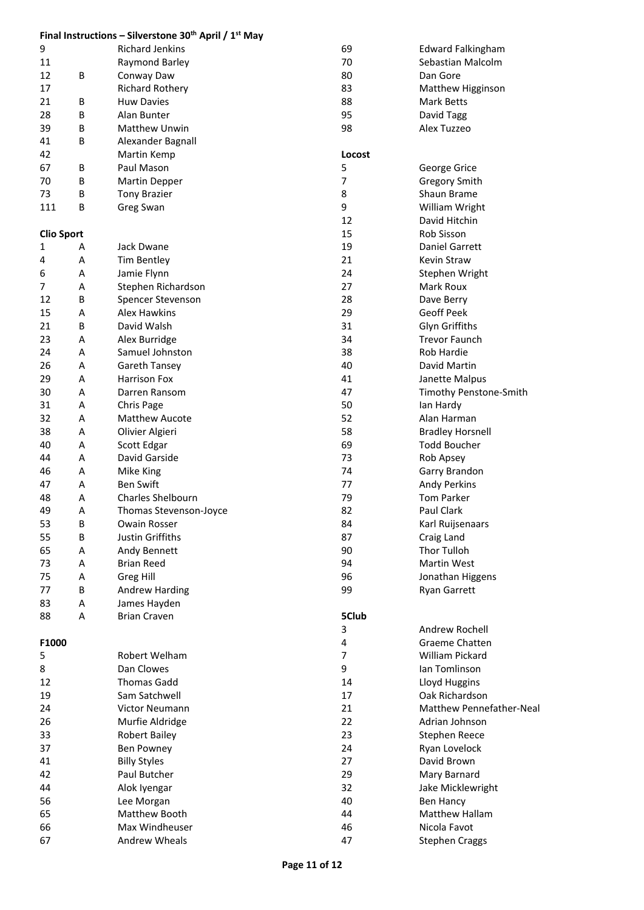|                   |   | Final Instructions - Silverstone 30 <sup>th</sup> April / $1st$ May |                |                          |
|-------------------|---|---------------------------------------------------------------------|----------------|--------------------------|
| 9                 |   | <b>Richard Jenkins</b>                                              | 69             | <b>Edward Falkingham</b> |
| 11                |   | Raymond Barley                                                      | 70             | Sebastian Malcolm        |
| 12                | В | Conway Daw                                                          | 80             | Dan Gore                 |
| 17                |   | <b>Richard Rothery</b>                                              | 83             | Matthew Higginson        |
| 21                | B | <b>Huw Davies</b>                                                   | 88             | Mark Betts               |
| 28                | В | Alan Bunter                                                         | 95             | David Tagg               |
| 39                | B | <b>Matthew Unwin</b>                                                | 98             | Alex Tuzzeo              |
| 41                | В | Alexander Bagnall                                                   |                |                          |
| 42                |   | Martin Kemp                                                         | Locost         |                          |
| 67                | В | Paul Mason                                                          | 5              | George Grice             |
| 70                | В | <b>Martin Depper</b>                                                | $\overline{7}$ | <b>Gregory Smith</b>     |
| 73                | В | <b>Tony Brazier</b>                                                 | 8              | Shaun Brame              |
| 111               | В | Greg Swan                                                           | 9              | William Wright           |
|                   |   |                                                                     | 12             | David Hitchin            |
| <b>Clio Sport</b> |   |                                                                     | 15             | Rob Sisson               |
| 1                 | Α | Jack Dwane                                                          | 19             | Daniel Garrett           |
| 4                 | Α | Tim Bentley                                                         | 21             | Kevin Straw              |
| 6                 | Α | Jamie Flynn                                                         | 24             | Stephen Wright           |
| 7                 | Α | Stephen Richardson                                                  | 27             | Mark Roux                |
| 12                | В | Spencer Stevenson                                                   | 28             | Dave Berry               |
| 15                | А | <b>Alex Hawkins</b>                                                 | 29             | Geoff Peek               |
| 21                | B | David Walsh                                                         | 31             | Glyn Griffiths           |
| 23                | Α | Alex Burridge                                                       | 34             | <b>Trevor Faunch</b>     |
| 24                | A | Samuel Johnston                                                     | 38             | <b>Rob Hardie</b>        |
| 26                | A | <b>Gareth Tansey</b>                                                | 40             | David Martin             |
| 29                | Α | <b>Harrison Fox</b>                                                 | 41             | Janette Malpus           |
| 30                | Α | Darren Ransom                                                       | 47             | Timothy Penstone-Smith   |
| 31                | Α | Chris Page                                                          | 50             | lan Hardy                |
| 32                | Α | <b>Matthew Aucote</b>                                               | 52             | Alan Harman              |
| 38                | Α | Olivier Algieri                                                     | 58             | <b>Bradley Horsnell</b>  |
| 40                | Α | Scott Edgar                                                         | 69             | <b>Todd Boucher</b>      |
| 44                | Α | David Garside                                                       | 73             |                          |
|                   |   |                                                                     | 74             | Rob Apsey                |
| 46                | Α | Mike King                                                           |                | Garry Brandon            |
| 47                | A | <b>Ben Swift</b>                                                    | 77             | <b>Andy Perkins</b>      |
| 48                | А | Charles Shelbourn                                                   | 79             | <b>Tom Parker</b>        |
| 49                | A | Thomas Stevenson-Joyce                                              | 82             | Paul Clark               |
| 53                | В | Owain Rosser                                                        | 84             | Karl Ruijsenaars         |
| 55                | B | Justin Griffiths                                                    | 87             | Craig Land               |
| 65                | Α | Andy Bennett                                                        | 90             | Thor Tulloh              |
| 73                | Α | <b>Brian Reed</b>                                                   | 94             | Martin West              |
| 75                | Α | Greg Hill                                                           | 96             | Jonathan Higgens         |
| 77                | В | <b>Andrew Harding</b>                                               | 99             | Ryan Garrett             |
| 83                | Α | James Hayden                                                        |                |                          |
| 88                | Α | <b>Brian Craven</b>                                                 | 5Club          |                          |
|                   |   |                                                                     | 3              | Andrew Rochell           |
| F1000             |   |                                                                     | 4              | Graeme Chatten           |
| 5                 |   | Robert Welham                                                       | $\overline{7}$ | <b>William Pickard</b>   |
| 8                 |   | Dan Clowes                                                          | 9              | Ian Tomlinson            |
| 12                |   | <b>Thomas Gadd</b>                                                  | 14             | Lloyd Huggins            |
| 19                |   | Sam Satchwell                                                       | 17             | Oak Richardson           |
| 24                |   | Victor Neumann                                                      | 21             | Matthew Pennefather-Neal |
| 26                |   | Murfie Aldridge                                                     | 22             | Adrian Johnson           |
| 33                |   | <b>Robert Bailey</b>                                                | 23             | Stephen Reece            |
| 37                |   | Ben Powney                                                          | 24             | Ryan Lovelock            |
| 41                |   | <b>Billy Styles</b>                                                 | 27             | David Brown              |
| 42                |   | Paul Butcher                                                        | 29             | Mary Barnard             |
| 44                |   | Alok Iyengar                                                        | 32             | Jake Micklewright        |
| 56                |   | Lee Morgan                                                          | 40             | <b>Ben Hancy</b>         |
| 65                |   | Matthew Booth                                                       | 44             | Matthew Hallam           |
| 66                |   | Max Windheuser                                                      | 46             | Nicola Favot             |
| 67                |   | Andrew Wheals                                                       | 47             | <b>Stephen Craggs</b>    |